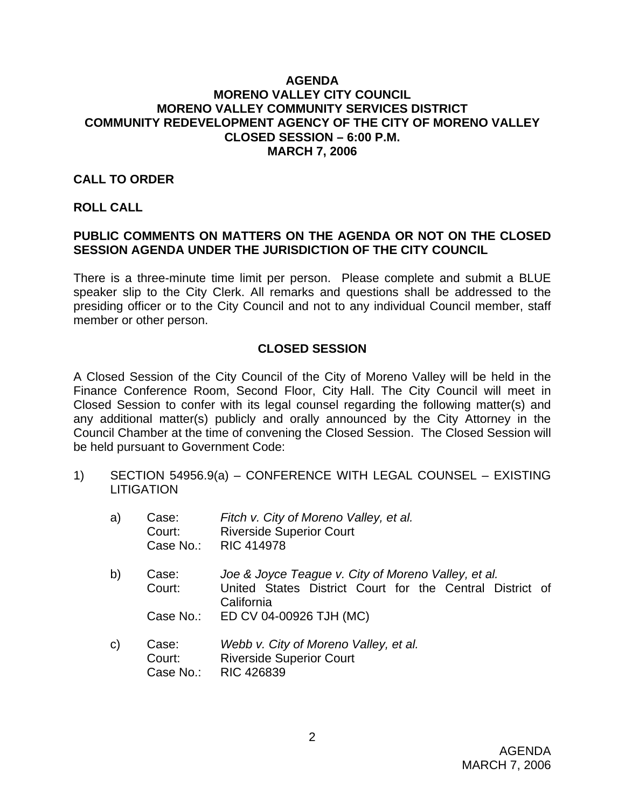## **AGENDA MORENO VALLEY CITY COUNCIL MORENO VALLEY COMMUNITY SERVICES DISTRICT COMMUNITY REDEVELOPMENT AGENCY OF THE CITY OF MORENO VALLEY CLOSED SESSION – 6:00 P.M. MARCH 7, 2006**

## **CALL TO ORDER**

#### **ROLL CALL**

# **PUBLIC COMMENTS ON MATTERS ON THE AGENDA OR NOT ON THE CLOSED SESSION AGENDA UNDER THE JURISDICTION OF THE CITY COUNCIL**

There is a three-minute time limit per person. Please complete and submit a BLUE speaker slip to the City Clerk. All remarks and questions shall be addressed to the presiding officer or to the City Council and not to any individual Council member, staff member or other person.

## **CLOSED SESSION**

A Closed Session of the City Council of the City of Moreno Valley will be held in the Finance Conference Room, Second Floor, City Hall. The City Council will meet in Closed Session to confer with its legal counsel regarding the following matter(s) and any additional matter(s) publicly and orally announced by the City Attorney in the Council Chamber at the time of convening the Closed Session. The Closed Session will be held pursuant to Government Code:

1) SECTION 54956.9(a) – CONFERENCE WITH LEGAL COUNSEL – EXISTING **LITIGATION** 

| a)           | Case:<br>Court:<br>Case No.: | Fitch v. City of Moreno Valley, et al.<br><b>Riverside Superior Court</b><br><b>RIC 414978</b>                                |  |
|--------------|------------------------------|-------------------------------------------------------------------------------------------------------------------------------|--|
| b)           | Case:<br>Court:              | Joe & Joyce Teague v. City of Moreno Valley, et al.<br>United States District Court for the Central District of<br>California |  |
|              | Case No.:                    | ED CV 04-00926 TJH (MC)                                                                                                       |  |
| $\mathsf{C}$ | Case:<br>Court:<br>Case No.: | Webb v. City of Moreno Valley, et al.<br><b>Riverside Superior Court</b><br><b>RIC 426839</b>                                 |  |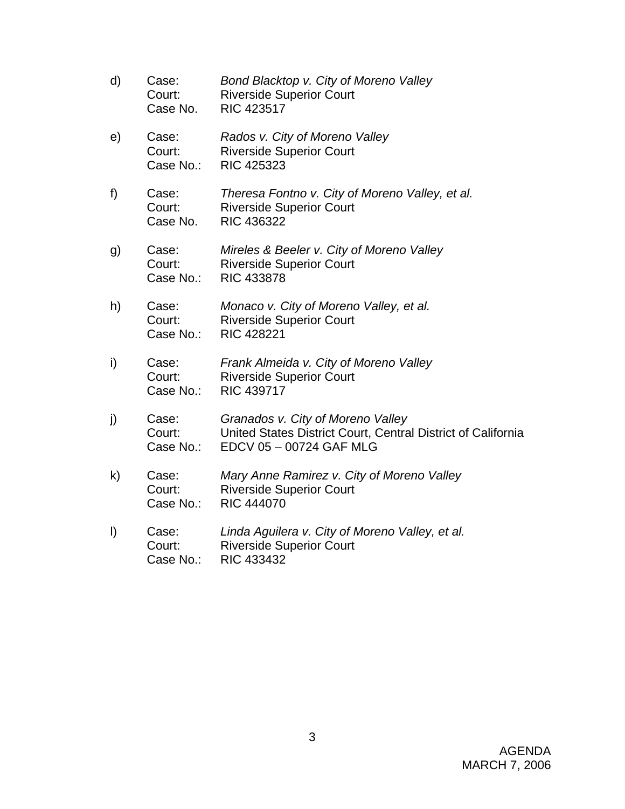- d) Case: *Bond Blacktop v. City of Moreno Valley* Court: Riverside Superior Court Case No. RIC 423517 e) Case: *Rados v. City of Moreno Valley*  Court: Riverside Superior Court Case No.: RIC 425323 f) Case: *Theresa Fontno v. City of Moreno Valley, et al.* Court: Riverside Superior Court Case No. RIC 436322 g) Case: *Mireles & Beeler v. City of Moreno Valley*  Court: Riverside Superior Court Case No.: RIC 433878 h) Case: *Monaco v. City of Moreno Valley, et al.*  Court: Riverside Superior Court Case No.: RIC 428221 i) Case: *Frank Almeida v. City of Moreno Valley*  Court: Riverside Superior Court Case No.: RIC 439717 j) Case: *Granados v. City of Moreno Valley* Court: United States District Court, Central District of California Case No.: EDCV 05 – 00724 GAF MLG k) Case: *Mary Anne Ramirez v. City of Moreno Valley*  Court: Riverside Superior Court Case No.: RIC 444070 l) Case: *Linda Aguilera v. City of Moreno Valley, et al.*  Court: Riverside Superior Court
	- Case No.: RIC 433432